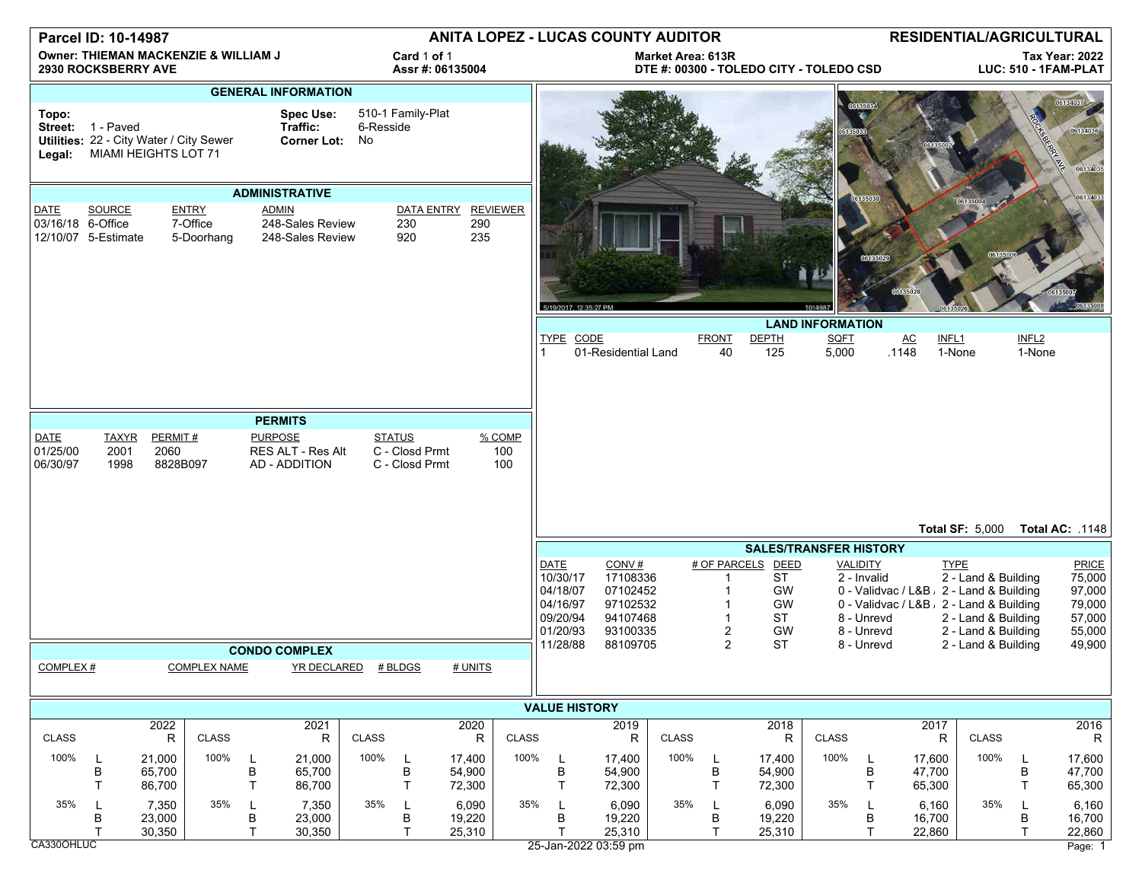| Parcel ID: 10-14987                                                |                                      |                                            |                     |                                                            |                     |                                 | <b>ANITA LOPEZ - LUCAS COUNTY AUDITOR</b>         |                                                                     |                      |                                                                                     |                                                                               |                      |                     | <b>RESIDENTIAL/AGRICULTURAL</b>                                                                             |                         |                                                                          |                                    |                                                                                                                                                                                                 |                             |                                                                   |
|--------------------------------------------------------------------|--------------------------------------|--------------------------------------------|---------------------|------------------------------------------------------------|---------------------|---------------------------------|---------------------------------------------------|---------------------------------------------------------------------|----------------------|-------------------------------------------------------------------------------------|-------------------------------------------------------------------------------|----------------------|---------------------|-------------------------------------------------------------------------------------------------------------|-------------------------|--------------------------------------------------------------------------|------------------------------------|-------------------------------------------------------------------------------------------------------------------------------------------------------------------------------------------------|-----------------------------|-------------------------------------------------------------------|
| Owner: THIEMAN MACKENZIE & WILLIAM J<br><b>2930 ROCKSBERRY AVE</b> |                                      |                                            |                     |                                                            |                     | Card 1 of 1<br>Assr #: 06135004 |                                                   | <b>Market Area: 613R</b><br>DTE #: 00300 - TOLEDO CITY - TOLEDO CSD |                      |                                                                                     |                                                                               |                      |                     | <b>Tax Year: 2022</b><br>LUC: 510 - 1FAM-PLAT                                                               |                         |                                                                          |                                    |                                                                                                                                                                                                 |                             |                                                                   |
| Topo:                                                              | Street: 1 - Paved                    | Utilities: 22 - City Water / City Sewer    |                     | <b>GENERAL INFORMATION</b><br><b>Spec Use:</b><br>Traffic: | Corner Lot: No      | 6-Resside                       | 510-1 Family-Plat                                 |                                                                     |                      |                                                                                     |                                                                               |                      |                     |                                                                                                             |                         |                                                                          |                                    |                                                                                                                                                                                                 |                             | 06134037<br>06134036                                              |
|                                                                    | MIAMI HEIGHTS LOT 71<br>Legal:       |                                            |                     |                                                            |                     |                                 |                                                   |                                                                     |                      |                                                                                     |                                                                               |                      |                     |                                                                                                             |                         |                                                                          | 06134035                           |                                                                                                                                                                                                 |                             |                                                                   |
|                                                                    | <b>ADMINISTRATIVE</b>                |                                            |                     |                                                            |                     |                                 |                                                   |                                                                     |                      |                                                                                     |                                                                               |                      |                     | 613503                                                                                                      |                         |                                                                          |                                    | 06134033                                                                                                                                                                                        |                             |                                                                   |
| DATE<br>03/16/18 6-Office                                          | <b>SOURCE</b><br>12/10/07 5-Estimate | <b>ENTRY</b><br>7-Office                   | 5-Doorhang          | <b>ADMIN</b><br>248-Sales Review<br>248-Sales Review       |                     |                                 | DATA ENTRY REVIEWER<br>230<br>920                 | 290<br>235                                                          |                      | 5/19/2017, 12:35:27 PM                                                              |                                                                               |                      |                     |                                                                                                             |                         |                                                                          |                                    |                                                                                                                                                                                                 |                             |                                                                   |
|                                                                    |                                      |                                            |                     |                                                            |                     |                                 |                                                   |                                                                     |                      |                                                                                     |                                                                               |                      |                     |                                                                                                             | <b>LAND INFORMATION</b> |                                                                          |                                    |                                                                                                                                                                                                 |                             |                                                                   |
|                                                                    |                                      |                                            |                     |                                                            |                     |                                 |                                                   |                                                                     |                      | TYPE CODE                                                                           | 01-Residential Land                                                           |                      | <b>FRONT</b><br>40  | <b>DEPTH</b><br>125                                                                                         | <b>SQFT</b><br>5,000    |                                                                          | $\underline{\mathsf{AC}}$<br>.1148 | INFL1<br>1-None                                                                                                                                                                                 | INFL <sub>2</sub><br>1-None |                                                                   |
|                                                                    |                                      |                                            |                     | <b>PERMITS</b>                                             |                     |                                 |                                                   |                                                                     |                      |                                                                                     |                                                                               |                      |                     |                                                                                                             |                         |                                                                          |                                    |                                                                                                                                                                                                 |                             |                                                                   |
| <b>DATE</b><br>01/25/00<br>06/30/97                                | <b>TAXYR</b><br>2001<br>1998         | PERMIT#<br>2060<br>8828B097                |                     | <b>PURPOSE</b><br>RES ALT - Res Alt<br>AD - ADDITION       |                     |                                 | <b>STATUS</b><br>C - Closd Prmt<br>C - Closd Prmt |                                                                     | % COMP<br>100<br>100 |                                                                                     |                                                                               |                      |                     |                                                                                                             |                         |                                                                          |                                    |                                                                                                                                                                                                 |                             |                                                                   |
|                                                                    |                                      |                                            |                     |                                                            |                     |                                 |                                                   | Total SF: 5,000 Total AC: .1148                                     |                      |                                                                                     |                                                                               |                      |                     |                                                                                                             |                         |                                                                          |                                    |                                                                                                                                                                                                 |                             |                                                                   |
| <b>COMPLEX#</b>                                                    |                                      |                                            | <b>COMPLEX NAME</b> | <b>CONDO COMPLEX</b>                                       | YR DECLARED # BLDGS |                                 |                                                   | # UNITS                                                             |                      | <b>DATE</b><br>10/30/17<br>04/18/07<br>04/16/97<br>09/20/94<br>01/20/93<br>11/28/88 | CONV#<br>17108336<br>07102452<br>97102532<br>94107468<br>93100335<br>88109705 |                      | $\overline{2}$<br>2 | <b>SALES/TRANSFER HISTORY</b><br># OF PARCELS DEED<br><b>ST</b><br>GW<br>GW<br><b>ST</b><br>GW<br><b>ST</b> |                         | <b>VALIDITY</b><br>2 - Invalid<br>8 - Unrevd<br>8 - Unrevd<br>8 - Unrevd |                                    | <b>TYPE</b><br>2 - Land & Building<br>0 - Validvac / L&B , 2 - Land & Building<br>0 - Validvac / L&B , 2 - Land & Building<br>2 - Land & Building<br>2 - Land & Building<br>2 - Land & Building |                             | PRICE<br>75,000<br>97,000<br>79,000<br>57,000<br>55,000<br>49,900 |
|                                                                    |                                      |                                            |                     |                                                            |                     |                                 |                                                   |                                                                     |                      |                                                                                     |                                                                               |                      |                     |                                                                                                             |                         |                                                                          |                                    |                                                                                                                                                                                                 |                             |                                                                   |
|                                                                    |                                      | 2022                                       |                     |                                                            | 2021                |                                 |                                                   | 2020                                                                |                      | <b>VALUE HISTORY</b>                                                                | 2019                                                                          |                      |                     | 2018                                                                                                        |                         |                                                                          | 2017                               |                                                                                                                                                                                                 |                             | 2016                                                              |
| <b>CLASS</b><br>100%                                               | L<br>В<br>т                          | $\mathsf{R}$<br>21,000<br>65,700<br>86,700 | CLASS<br>100%       | 21,000<br>В<br>65,700<br>T.<br>86,700                      | R                   | <b>CLASS</b><br>100%            | L<br>B<br>T                                       | R<br>17,400<br>54,900<br>72,300                                     | <b>CLASS</b><br>100% | L<br>В<br>$\mathsf{T}$                                                              | $\mathsf{R}$<br>17,400<br>54,900<br>72,300                                    | <b>CLASS</b><br>100% | В<br>$\mathsf{T}$   | R<br>17,400<br>54,900<br>72,300                                                                             | <b>CLASS</b><br>100%    | L<br>В<br>T                                                              | R<br>17,600<br>47,700<br>65,300    | CLASS<br>100%                                                                                                                                                                                   | B<br>$\mathsf{T}$           | R<br>17,600<br>47,700<br>65,300                                   |
| 35%<br>0.00001110                                                  | L<br>B                               | 7,350<br>23,000<br>30,350                  | 35%                 | 7,350<br>В<br>23,000<br>$\mathsf{T}$<br>30,350             |                     | 35%                             | L<br>В<br>T                                       | 6,090<br>19,220<br>25,310                                           | 35%                  | L<br>В<br>$25 - 202202556$                                                          | 6,090<br>19,220<br>25,310                                                     | 35%                  | B<br>$\mathsf{T}$   | 6,090<br>19,220<br>25,310                                                                                   | 35%                     | L.<br>В<br>T.                                                            | 6,160<br>16,700<br>22,860          | 35%                                                                                                                                                                                             | в<br>$\top$                 | 6,160<br>16,700<br>22,860                                         |